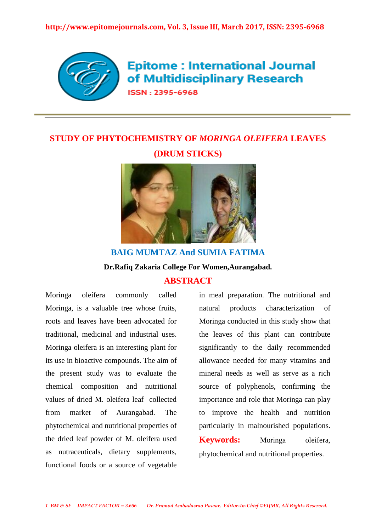

**Epitome: International Journal** of Multidisciplinary Research

**ISSN: 2395-6968** 

# **STUDY OF PHYTOCHEMISTRY OF** *MORINGA OLEIFERA* **LEAVES (DRUM STICKS)**



## **BAIG MUMTAZ And SUMIA FATIMA Dr.Rafiq Zakaria College For Women,Aurangabad. ABSTRACT**

Moringa oleífera commonly called Moringa, is a valuable tree whose fruits, roots and leaves have been advocated for traditional, medicinal and industrial uses. Moringa oleifera is an interesting plant for its use in bioactive compounds. The aim of the present study was to evaluate the chemical composition and nutritional values of dried M. oleifera leaf collected from market of Aurangabad. The phytochemical and nutritional properties of the dried leaf powder of M. oleifera used as nutraceuticals, dietary supplements, functional foods or a source of vegetable in meal preparation. The nutritional and natural products characterization of Moringa conducted in this study show that the leaves of this plant can contribute significantly to the daily recommended allowance needed for many vitamins and mineral needs as well as serve as a rich source of polyphenols, confirming the importance and role that Moringa can play to improve the health and nutrition particularly in malnourished populations. **Keywords:** Moringa oleifera, phytochemical and nutritional properties.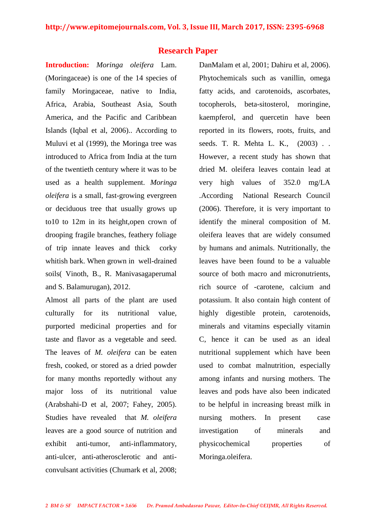## **Research Paper**

**Introduction:** *Moringa oleifera* Lam. (Moringaceae) is one of the 14 species of family Moringaceae, native to India, Africa, Arabia, Southeast Asia, South America, and the Pacific and Caribbean Islands (Iqbal et al, 2006).. According to Muluvi et al (1999), the Moringa tree was introduced to Africa from India at the turn of the twentieth century where it was to be used as a health supplement. *Moringa oleifera* is a small, fast-growing evergreen or deciduous tree that usually grows up to10 to 12m in its height,open crown of drooping fragile branches, feathery foliage of trip innate leaves and thick corky whitish bark. When grown in well-drained soils( Vinoth, B., R. Manivasagaperumal and S. Balamurugan), 2012.

Almost all parts of the plant are used culturally for its nutritional value, purported medicinal properties and for taste and flavor as a vegetable and seed. The leaves of *M. oleifera* can be eaten fresh, cooked, or stored as a dried powder for many months reportedly without any major loss of its nutritional value (Arabshahi-D et al, 2007; Fahey, 2005). Studies have revealed that *M. oleifera*  leaves are a good source of nutrition and exhibit anti-tumor, anti-inflammatory, anti-ulcer, anti-atherosclerotic and anticonvulsant activities (Chumark et al, 2008;

DanMalam et al, 2001; Dahiru et al, 2006). Phytochemicals such as vanillin, omega fatty acids, and carotenoids, ascorbates, tocopherols, beta-sitosterol, moringine, kaempferol, and quercetin have been reported in its flowers, roots, fruits, and seeds. T. R. Mehta L. K., (2003) . . However, a recent study has shown that dried M. oleifera leaves contain lead at very high values of 352.0 mg/LA .According National Research Council (2006). Therefore, it is very important to identify the mineral composition of M. oleifera leaves that are widely consumed by humans and animals. Nutritionally, the leaves have been found to be a valuable source of both macro and micronutrients, rich source of -carotene, calcium and potassium. It also contain high content of highly digestible protein, carotenoids, minerals and vitamins especially vitamin C, hence it can be used as an ideal nutritional supplement which have been used to combat malnutrition, especially among infants and nursing mothers. The leaves and pods have also been indicated to be helpful in increasing breast milk in nursing mothers. In present case investigation of minerals and physicochemical properties of Moringa.oleifera.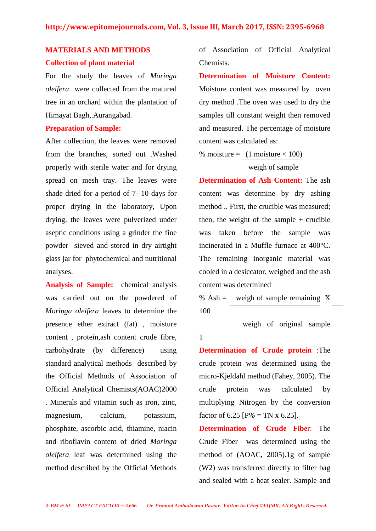# **MATERIALS AND METHODS**

## **Collection of plant material**

For the study the leaves of *Moringa oleifera* were collected from the matured tree in an orchard within the plantation of Himayat Bagh,.Aurangabad.

### **Preparation of Sample:**

After collection, the leaves were removed from the branches, sorted out .Washed properly with sterile water and for drying spread on mesh tray. The leaves were shade dried for a period of 7- 10 days for proper drying in the laboratory, Upon drying, the leaves were pulverized under aseptic conditions using a grinder the fine powder sieved and stored in dry airtight glass jar for phytochemical and nutritional analyses.

**Analysis of Sample:** chemical analysis was carried out on the powdered of *Moringa oleifera* leaves to determine the presence ether extract (fat) , moisture content , protein,ash content crude fibre, carbohydrate (by difference) using standard analytical methods described by the Official Methods of Association of Official Analytical Chemists(AOAC)2000 . Minerals and vitamin such as iron, zinc, magnesium, calcium, potassium, phosphate, ascorbic acid, thiamine, niacin and riboflavin content of dried *Moringa oleifera* leaf was determined using the method described by the Official Methods of Association of Official Analytical Chemists.

**Determination of Moisture Content:**  Moisture content was measured by oven dry method .The oven was used to dry the samples till constant weight then removed and measured. The percentage of moisture content was calculated as:

% moisture =  $(1 \text{ moisture} \times 100)$ weigh of sample

**Determination of Ash Content:** The ash content was determine by dry ashing method .. First, the crucible was measured; then, the weight of the sample  $+$  crucible was taken before the sample was incinerated in a Muffle furnace at 400°C. The remaining inorganic material was cooled in a desiccator, weighed and the ash content was determined

% Ash = weigh of sample remaining  $X$ 100

weigh of original sample

**Determination of Crude protein** :The crude protein was determined using the micro-Kjeldahl method (Fahey, 2005). The crude protein was calculated by multiplying Nitrogen by the conversion factor of  $6.25$  [P% = TN x  $6.25$ ].

**Determination of Crude Fibe**r: The Crude Fiber was determined using the method of (AOAC, 2005).1g of sample (W2) was transferred directly to filter bag and sealed with a heat sealer. Sample and

1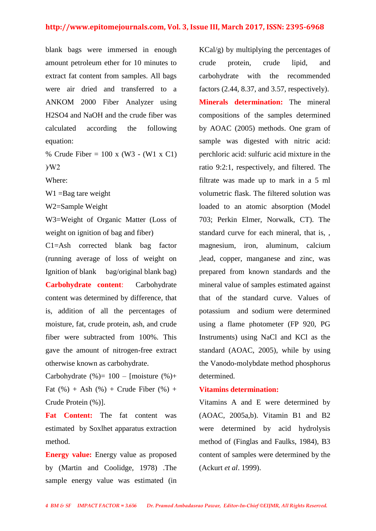## **http://www.epitomejournals.com, Vol. 3, Issue III, March 2017, ISSN: 2395-6968**

blank bags were immersed in enough amount petroleum ether for 10 minutes to extract fat content from samples. All bags were air dried and transferred to a ANKOM 2000 Fiber Analyzer using H2SO4 and NaOH and the crude fiber was calculated according the following equation:

% Crude Fiber = 100 x (W3 - (W1 x C1) )⁄W2

Where:

W1 =Bag tare weight

W2=Sample Weight

W3=Weight of Organic Matter (Loss of weight on ignition of bag and fiber)

C1=Ash corrected blank bag factor (running average of loss of weight on Ignition of blank bag/original blank bag) **Carbohydrate content**: Carbohydrate content was determined by difference, that is, addition of all the percentages of moisture, fat, crude protein, ash, and crude fiber were subtracted from 100%. This gave the amount of nitrogen-free extract otherwise known as carbohydrate.

Carbohydrate  $(\%)= 100 -$  [moisture  $(\%)+$ Fat  $(\% ) +$  Ash  $(\% ) +$  Crude Fiber  $(\% ) +$ Crude Protein (%)].

**Fat Content:** The fat content was estimated by Soxlhet apparatus extraction method.

**Energy value:** Energy value as proposed by (Martin and Coolidge, 1978) .The sample energy value was estimated (in KCal/g) by multiplying the percentages of crude protein, crude lipid, and carbohydrate with the recommended factors (2.44, 8.37, and 3.57, respectively). **Minerals determination:** The mineral compositions of the samples determined by AOAC (2005) methods. One gram of sample was digested with nitric acid: perchloric acid: sulfuric acid mixture in the ratio 9:2:1, respectively, and filtered. The filtrate was made up to mark in a 5 ml volumetric flask. The filtered solution was loaded to an atomic absorption (Model 703; Perkin Elmer, Norwalk, CT). The standard curve for each mineral, that is, , magnesium, iron, aluminum, calcium ,lead, copper, manganese and zinc, was prepared from known standards and the mineral value of samples estimated against that of the standard curve. Values of potassium and sodium were determined using a flame photometer (FP 920, PG Instruments) using NaCl and KCl as the standard (AOAC, 2005), while by using the Vanodo-molybdate method phosphorus determined.

## **Vitamins determination:**

Vitamins A and E were determined by (AOAC, 2005a,b). Vitamin B1 and B2 were determined by acid hydrolysis method of (Finglas and Faulks, 1984), B3 content of samples were determined by the (Ackurt *et al*. 1999).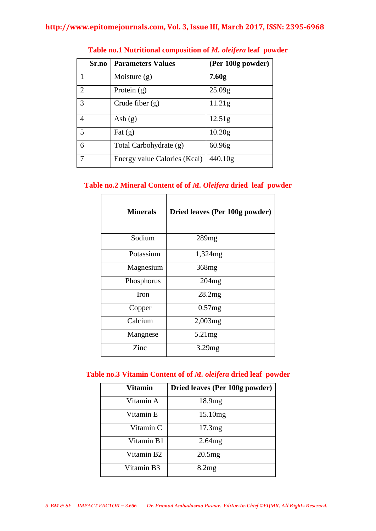|                | Sr.no | <b>Parameters Values</b>     | (Per 100g powder)   |
|----------------|-------|------------------------------|---------------------|
|                |       | Moisture $(g)$               | 7.60 <sub>g</sub>   |
| $\overline{2}$ |       | Protein $(g)$                | 25.09g              |
| 3              |       | Crude fiber $(g)$            | 11.21 <sub>g</sub>  |
| 4              |       | Ash $(g)$                    | 12.51 <sub>g</sub>  |
| 5              |       | Fat $(g)$                    | 10.20 <sub>g</sub>  |
| 6              |       | Total Carbohydrate (g)       | 60.96g              |
|                |       | Energy value Calories (Kcal) | 440.10 <sub>g</sub> |

## **Table no.1 Nutritional composition of** *M. oleifera* **leaf powder**

## **Table no.2 Mineral Content of of** *M. Oleifera* **dried leaf powder**

| <b>Minerals</b> | Dried leaves (Per 100g powder) |
|-----------------|--------------------------------|
| Sodium          | 289mg                          |
| Potassium       | 1,324mg                        |
| Magnesium       | 368 <sub>mg</sub>              |
| Phosphorus      | 204mg                          |
| Iron            | 28.2mg                         |
| Copper          | 0.57mg                         |
| Calcium         | $2,003$ mg                     |
| Mangnese        | 5.21mg                         |
| Zinc            | 3.29mg                         |

## **Table no.3 Vitamin Content of of** *M. oleifera* **dried leaf powder**

| Vitamin    | Dried leaves (Per 100g powder) |
|------------|--------------------------------|
| Vitamin A  | 18.9mg                         |
| Vitamin E  | 15.10 <sub>mg</sub>            |
| Vitamin C  | 17.3mg                         |
| Vitamin B1 | 2.64mg                         |
| Vitamin B2 | 20.5mg                         |
| Vitamin B3 | 8.2mg                          |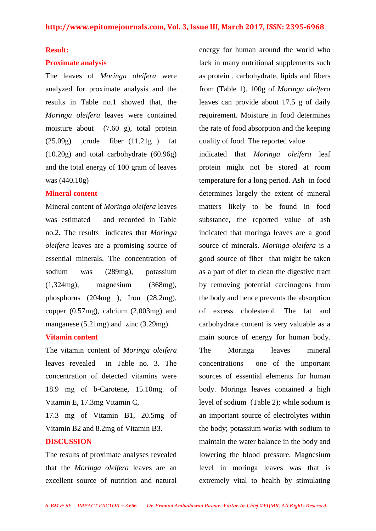#### **Result:**

#### **Proximate analysis**

The leaves of *Moringa oleifera* were analyzed for proximate analysis and the results in Table no.1 showed that, the *Moringa oleifera* leaves were contained moisture about (7.60 g), total protein  $(25.09g)$  , crude fiber  $(11.21g)$  fat (10.20g) and total carbohydrate (60.96g) and the total energy of 100 gram of leaves was (440.10g)

## **Mineral content**

Mineral content of *Moringa oleifera* leaves was estimated and recorded in Table no.2. The results indicates that *Moringa oleifera* leaves are a promising source of essential minerals. The concentration of sodium was (289mg), potassium (1,324mg), magnesium (368mg), phosphorus (204mg ), Iron (28.2mg), copper (0.57mg), calcium (2,003mg) and manganese (5.21mg) and zinc (3.29mg).

## **Vitamin content**

The vitamin content of *Moringa oleifera*  leaves revealed in Table no. 3. The concentration of detected vitamins were 18.9 mg of b-Carotene, 15.10mg. of Vitamin E, 17.3mg Vitamin C,

17.3 mg of Vitamin B1, 20.5mg of Vitamin B2 and 8.2mg of Vitamin B3.

#### **DISCUSSION**

The results of proximate analyses revealed that the *Moringa oleifera* leaves are an excellent source of nutrition and natural energy for human around the world who lack in many nutritional supplements such as protein , carbohydrate, lipids and fibers from (Table 1). 100g of *Moringa oleifera*  leaves can provide about 17.5 g of daily requirement. Moisture in food determines the rate of food absorption and the keeping quality of food. The reported value

indicated that *Moringa oleifera* leaf protein might not be stored at room temperature for a long period. Ash in food determines largely the extent of mineral matters likely to be found in food substance, the reported value of ash indicated that moringa leaves are a good source of minerals. *Moringa oleifera* is a good source of fiber that might be taken as a part of diet to clean the digestive tract by removing potential carcinogens from the body and hence prevents the absorption of excess cholesterol. The fat and carbohydrate content is very valuable as a main source of energy for human body. The Moringa leaves mineral concentrations one of the important sources of essential elements for human body. Moringa leaves contained a high level of sodium (Table 2); while sodium is an important source of electrolytes within the body; potassium works with sodium to maintain the water balance in the body and lowering the blood pressure. Magnesium level in moringa leaves was that is extremely vital to health by stimulating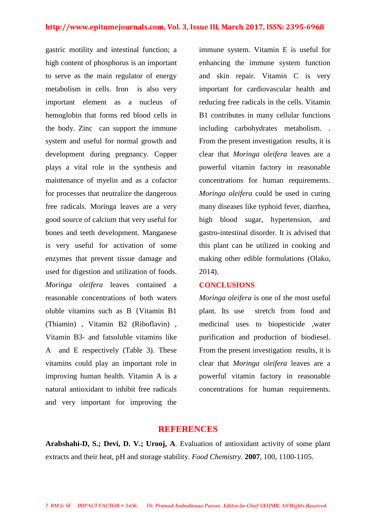gastric motility and intestinal function; a high content of phosphorus is an important to serve as the main regulator of energy metabolism in cells. Iron is also very important element as a nucleus of hemoglobin that forms red blood cells in the body. Zinc can support the immune system and useful for normal growth and development during pregnancy. Copper plays a vital role in the synthesis and maintenance of myelin and as a cofactor for processes that neutralize the dangerous free radicals. Moringa leaves are a very good source of calcium that very useful for bones and teeth development. Manganese is very useful for activation of some enzymes that prevent tissue damage and used for digestion and utilization of foods. *Moringa oleifera* leaves contained a reasonable concentrations of both waters oluble vitamins such as B {Vitamin B1 (Thiamin) , Vitamin B2 (Riboflavin) , Vitamin B3- and fatsoluble vitamins like A and E respectively (Table 3). These vitamins could play an important role in improving human health. Vitamin A is a natural antioxidant to inhibit free radicals and very important for improving the immune system. Vitamin E is useful for enhancing the immune system function and skin repair. Vitamin C is very important for cardiovascular health and reducing free radicals in the cells. Vitamin B1 contributes in many cellular functions including carbohydrates metabolism. . From the present investigation results, it is clear that *Moringa oleifera* leaves are a powerful vitamin factory in reasonable concentrations for human requirements. *Moringa oleifera* could be used in curing many diseases like typhoid fever, diarrhea, high blood sugar, hypertension, and gastro-intestinal disorder. It is advised that this plant can be utilized in cooking and making other edible formulations (Olako, 2014).

## **CONCLUSIONS**

*Moringa oleifera* is one of the most useful plant. Its use stretch from food and medicinal uses to biopesticide ,water purification and production of biodiesel. From the present investigation results, it is clear that *Moringa oleifera* leaves are a powerful vitamin factory in reasonable concentrations for human requirements.

## **REFERENCES**

**Arabshahi-D, S.; Devi, D. V.; Urooj, A**. Evaluation of antioxidant activity of some plant extracts and their heat, pH and storage stability. *Food Chemistry*. **2007**, 100, 1100-1105.